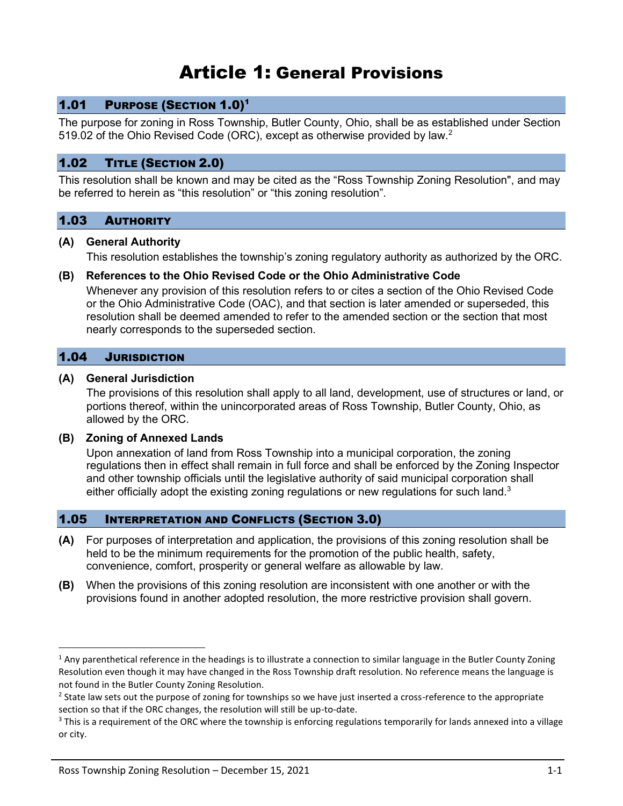# Article 1: General Provisions

# 1.01 PURPOSE (SECTION 1.0)<sup>1</sup>

The purpose for zoning in Ross Township, Butler County, Ohio, shall be as established under Section 519.02 of the Ohio Revised Code (ORC), except as otherwise provided by law.<sup>2</sup>

## 1.02 TITLE (SECTION 2.0)

This resolution shall be known and may be cited as the "Ross Township Zoning Resolution", and may be referred to herein as "this resolution" or "this zoning resolution".

# 1.03 AUTHORITY

#### **(A) General Authority**

This resolution establishes the township's zoning regulatory authority as authorized by the ORC.

## **(B) References to the Ohio Revised Code or the Ohio Administrative Code**

Whenever any provision of this resolution refers to or cites a section of the Ohio Revised Code or the Ohio Administrative Code (OAC), and that section is later amended or superseded, this resolution shall be deemed amended to refer to the amended section or the section that most nearly corresponds to the superseded section.

## 1.04 JURISDICTION

#### **(A) General Jurisdiction**

The provisions of this resolution shall apply to all land, development, use of structures or land, or portions thereof, within the unincorporated areas of Ross Township, Butler County, Ohio, as allowed by the ORC.

#### **(B) Zoning of Annexed Lands**

Upon annexation of land from Ross Township into a municipal corporation, the zoning regulations then in effect shall remain in full force and shall be enforced by the Zoning Inspector and other township officials until the legislative authority of said municipal corporation shall either officially adopt the existing zoning regulations or new regulations for such land. $3$ 

## 1.05 INTERPRETATION AND CONFLICTS (SECTION 3.0)

- **(A)** For purposes of interpretation and application, the provisions of this zoning resolution shall be held to be the minimum requirements for the promotion of the public health, safety, convenience, comfort, prosperity or general welfare as allowable by law.
- **(B)** When the provisions of this zoning resolution are inconsistent with one another or with the provisions found in another adopted resolution, the more restrictive provision shall govern.

 $1$  Any parenthetical reference in the headings is to illustrate a connection to similar language in the Butler County Zoning Resolution even though it may have changed in the Ross Township draft resolution. No reference means the language is not found in the Butler County Zoning Resolution.

<sup>&</sup>lt;sup>2</sup> State law sets out the purpose of zoning for townships so we have just inserted a cross-reference to the appropriate section so that if the ORC changes, the resolution will still be up-to-date.

<sup>&</sup>lt;sup>3</sup> This is a requirement of the ORC where the township is enforcing regulations temporarily for lands annexed into a village or city.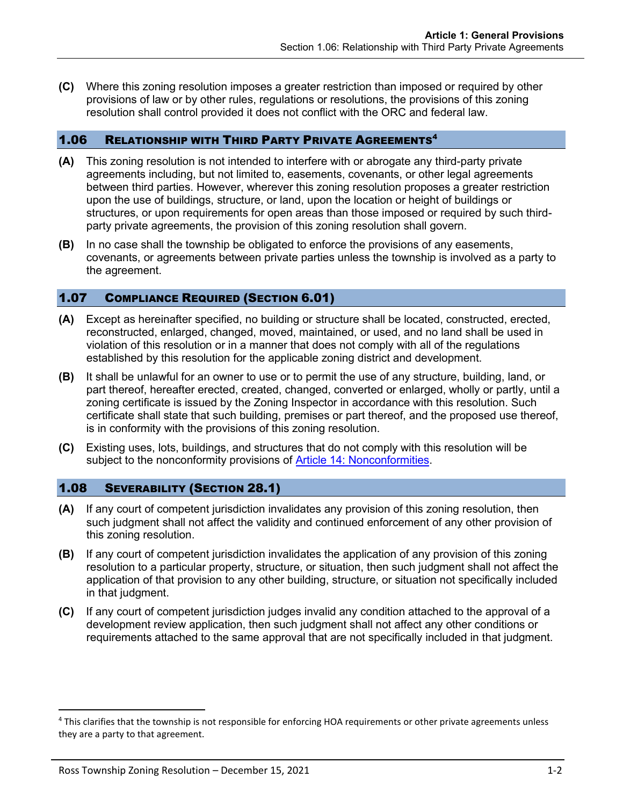**(C)** Where this zoning resolution imposes a greater restriction than imposed or required by other provisions of law or by other rules, regulations or resolutions, the provisions of this zoning resolution shall control provided it does not conflict with the ORC and federal law.

## 1.06 RELATIONSHIP WITH THIRD PARTY PRIVATE AGREEMENTS<sup>4</sup>

- **(A)** This zoning resolution is not intended to interfere with or abrogate any third-party private agreements including, but not limited to, easements, covenants, or other legal agreements between third parties. However, wherever this zoning resolution proposes a greater restriction upon the use of buildings, structure, or land, upon the location or height of buildings or structures, or upon requirements for open areas than those imposed or required by such thirdparty private agreements, the provision of this zoning resolution shall govern.
- **(B)** In no case shall the township be obligated to enforce the provisions of any easements, covenants, or agreements between private parties unless the township is involved as a party to the agreement.

# 1.07 COMPLIANCE REQUIRED (SECTION 6.01)

- **(A)** Except as hereinafter specified, no building or structure shall be located, constructed, erected, reconstructed, enlarged, changed, moved, maintained, or used, and no land shall be used in violation of this resolution or in a manner that does not comply with all of the regulations established by this resolution for the applicable zoning district and development.
- **(B)** It shall be unlawful for an owner to use or to permit the use of any structure, building, land, or part thereof, hereafter erected, created, changed, converted or enlarged, wholly or partly, until a zoning certificate is issued by the Zoning Inspector in accordance with this resolution. Such certificate shall state that such building, premises or part thereof, and the proposed use thereof, is in conformity with the provisions of this zoning resolution.
- **(C)** Existing uses, lots, buildings, and structures that do not comply with this resolution will be subject to the nonconformity provisions of Article 14: Nonconformities.

## 1.08 SEVERABILITY (SECTION 28.1)

- **(A)** If any court of competent jurisdiction invalidates any provision of this zoning resolution, then such judgment shall not affect the validity and continued enforcement of any other provision of this zoning resolution.
- **(B)** If any court of competent jurisdiction invalidates the application of any provision of this zoning resolution to a particular property, structure, or situation, then such judgment shall not affect the application of that provision to any other building, structure, or situation not specifically included in that judgment.
- **(C)** If any court of competent jurisdiction judges invalid any condition attached to the approval of a development review application, then such judgment shall not affect any other conditions or requirements attached to the same approval that are not specifically included in that judgment.

<sup>&</sup>lt;sup>4</sup> This clarifies that the township is not responsible for enforcing HOA requirements or other private agreements unless they are a party to that agreement.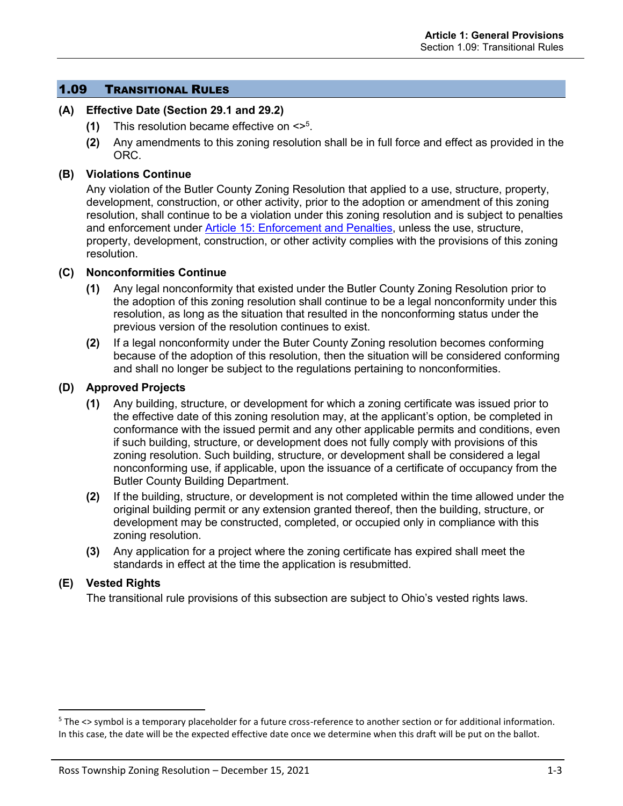## 1.09 TRANSITIONAL RULES

## **(A) Effective Date (Section 29.1 and 29.2)**

- **(1)** This resolution became effective on <><sup>5</sup> .
- **(2)** Any amendments to this zoning resolution shall be in full force and effect as provided in the ORC.

## **(B) Violations Continue**

Any violation of the Butler County Zoning Resolution that applied to a use, structure, property, development, construction, or other activity, prior to the adoption or amendment of this zoning resolution, shall continue to be a violation under this zoning resolution and is subject to penalties and enforcement under Article 15: Enforcement and Penalties, unless the use, structure, property, development, construction, or other activity complies with the provisions of this zoning resolution.

#### **(C) Nonconformities Continue**

- **(1)** Any legal nonconformity that existed under the Butler County Zoning Resolution prior to the adoption of this zoning resolution shall continue to be a legal nonconformity under this resolution, as long as the situation that resulted in the nonconforming status under the previous version of the resolution continues to exist.
- **(2)** If a legal nonconformity under the Buter County Zoning resolution becomes conforming because of the adoption of this resolution, then the situation will be considered conforming and shall no longer be subject to the regulations pertaining to nonconformities.

#### **(D) Approved Projects**

- **(1)** Any building, structure, or development for which a zoning certificate was issued prior to the effective date of this zoning resolution may, at the applicant's option, be completed in conformance with the issued permit and any other applicable permits and conditions, even if such building, structure, or development does not fully comply with provisions of this zoning resolution. Such building, structure, or development shall be considered a legal nonconforming use, if applicable, upon the issuance of a certificate of occupancy from the Butler County Building Department.
- **(2)** If the building, structure, or development is not completed within the time allowed under the original building permit or any extension granted thereof, then the building, structure, or development may be constructed, completed, or occupied only in compliance with this zoning resolution.
- **(3)** Any application for a project where the zoning certificate has expired shall meet the standards in effect at the time the application is resubmitted.

## **(E) Vested Rights**

The transitional rule provisions of this subsection are subject to Ohio's vested rights laws.

<sup>&</sup>lt;sup>5</sup> The <> symbol is a temporary placeholder for a future cross-reference to another section or for additional information. In this case, the date will be the expected effective date once we determine when this draft will be put on the ballot.